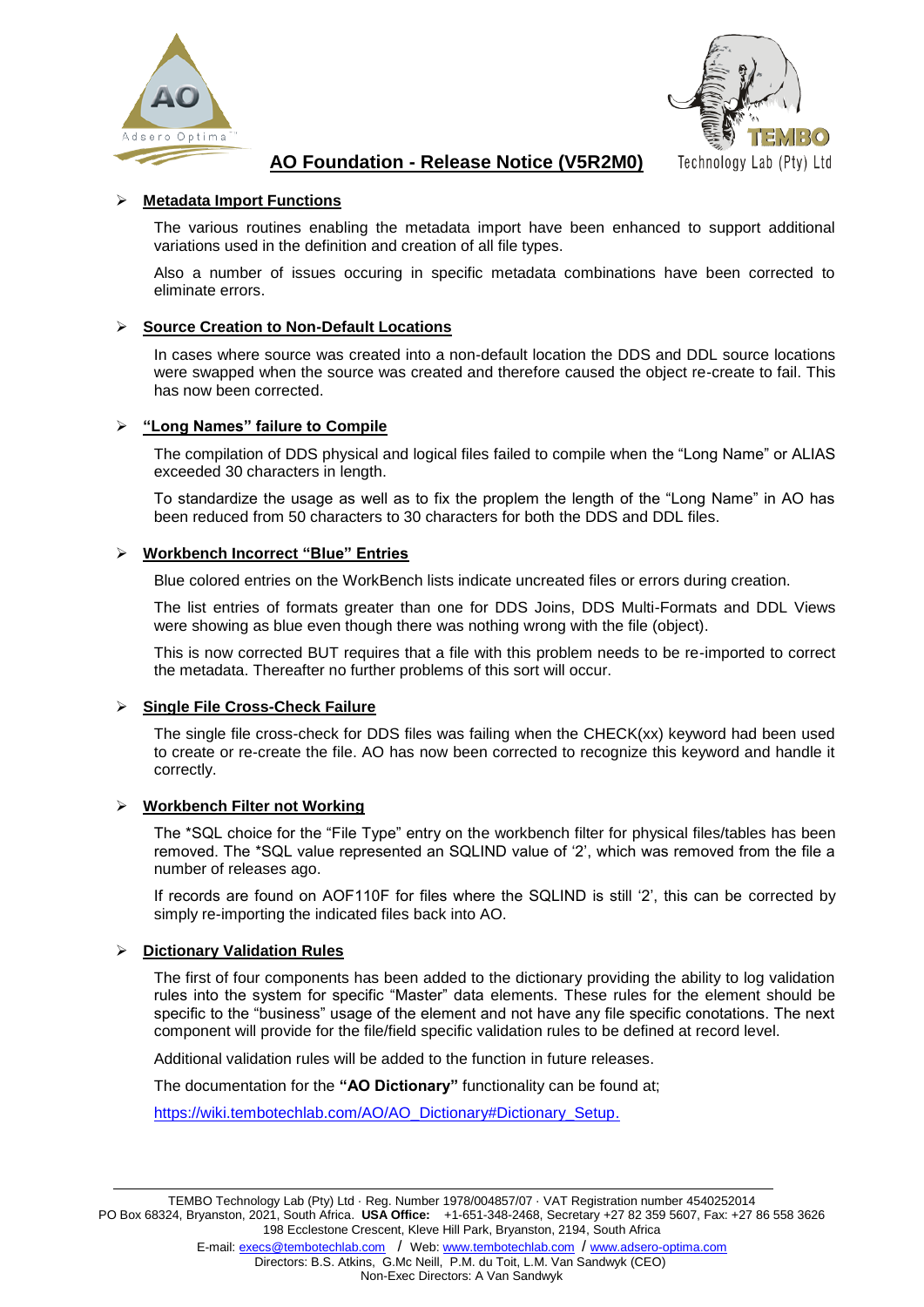



# **AO Foundation - Release Notice (V5R2M0)**

# **Metadata Import Functions**

The various routines enabling the metadata import have been enhanced to support additional variations used in the definition and creation of all file types.

Also a number of issues occuring in specific metadata combinations have been corrected to eliminate errors.

## **Source Creation to Non-Default Locations**

In cases where source was created into a non-default location the DDS and DDL source locations were swapped when the source was created and therefore caused the object re-create to fail. This has now been corrected.

## **"Long Names" failure to Compile**

The compilation of DDS physical and logical files failed to compile when the "Long Name" or ALIAS exceeded 30 characters in length.

To standardize the usage as well as to fix the proplem the length of the "Long Name" in AO has been reduced from 50 characters to 30 characters for both the DDS and DDL files.

## **Workbench Incorrect "Blue" Entries**

Blue colored entries on the WorkBench lists indicate uncreated files or errors during creation.

The list entries of formats greater than one for DDS Joins, DDS Multi-Formats and DDL Views were showing as blue even though there was nothing wrong with the file (object).

This is now corrected BUT requires that a file with this problem needs to be re-imported to correct the metadata. Thereafter no further problems of this sort will occur.

## **Single File Cross-Check Failure**

The single file cross-check for DDS files was failing when the CHECK(xx) keyword had been used to create or re-create the file. AO has now been corrected to recognize this keyword and handle it correctly.

#### **Workbench Filter not Working**

The \*SQL choice for the "File Type" entry on the workbench filter for physical files/tables has been removed. The \*SQL value represented an SQLIND value of '2', which was removed from the file a number of releases ago.

If records are found on AOF110F for files where the SQLIND is still '2', this can be corrected by simply re-importing the indicated files back into AO.

## **Dictionary Validation Rules**

The first of four components has been added to the dictionary providing the ability to log validation rules into the system for specific "Master" data elements. These rules for the element should be specific to the "business" usage of the element and not have any file specific conotations. The next component will provide for the file/field specific validation rules to be defined at record level.

Additional validation rules will be added to the function in future releases.

The documentation for the **"AO Dictionary"** functionality can be found at;

[https://wiki.tembotechlab.com/AO/AO\\_Dictionary#Dictionary\\_Setup.](https://wiki.tembotechlab.com/AO/AO_Dictionary#Dictionary_Setup)